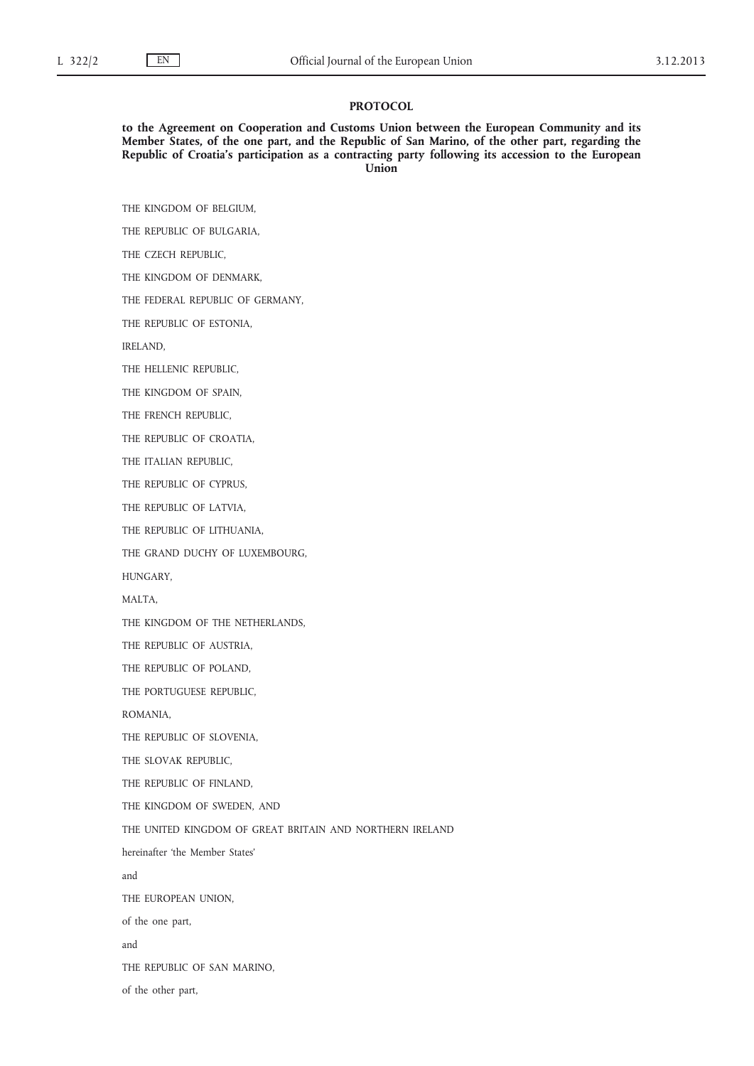#### **PROTOCOL**

**to the Agreement on Cooperation and Customs Union between the European Community and its Member States, of the one part, and the Republic of San Marino, of the other part, regarding the Republic of Croatia's participation as a contracting party following its accession to the European Union**

THE KINGDOM OF BELGIUM,

THE REPUBLIC OF BULGARIA,

THE CZECH REPUBLIC,

THE KINGDOM OF DENMARK,

THE FEDERAL REPUBLIC OF GERMANY,

THE REPUBLIC OF ESTONIA,

IRELAND,

THE HELLENIC REPUBLIC,

THE KINGDOM OF SPAIN,

THE FRENCH REPUBLIC,

THE REPUBLIC OF CROATIA,

THE ITALIAN REPUBLIC,

THE REPUBLIC OF CYPRUS,

THE REPUBLIC OF LATVIA,

THE REPUBLIC OF LITHUANIA,

THE GRAND DUCHY OF LUXEMBOURG,

HUNGARY,

MALTA,

THE KINGDOM OF THE NETHERLANDS,

THE REPUBLIC OF AUSTRIA,

THE REPUBLIC OF POLAND,

THE PORTUGUESE REPUBLIC,

ROMANIA,

THE REPUBLIC OF SLOVENIA,

THE SLOVAK REPUBLIC,

THE REPUBLIC OF FINLAND,

THE KINGDOM OF SWEDEN, AND

THE UNITED KINGDOM OF GREAT BRITAIN AND NORTHERN IRELAND

hereinafter 'the Member States'

and

THE EUROPEAN UNION,

of the one part,

and

THE REPUBLIC OF SAN MARINO,

of the other part,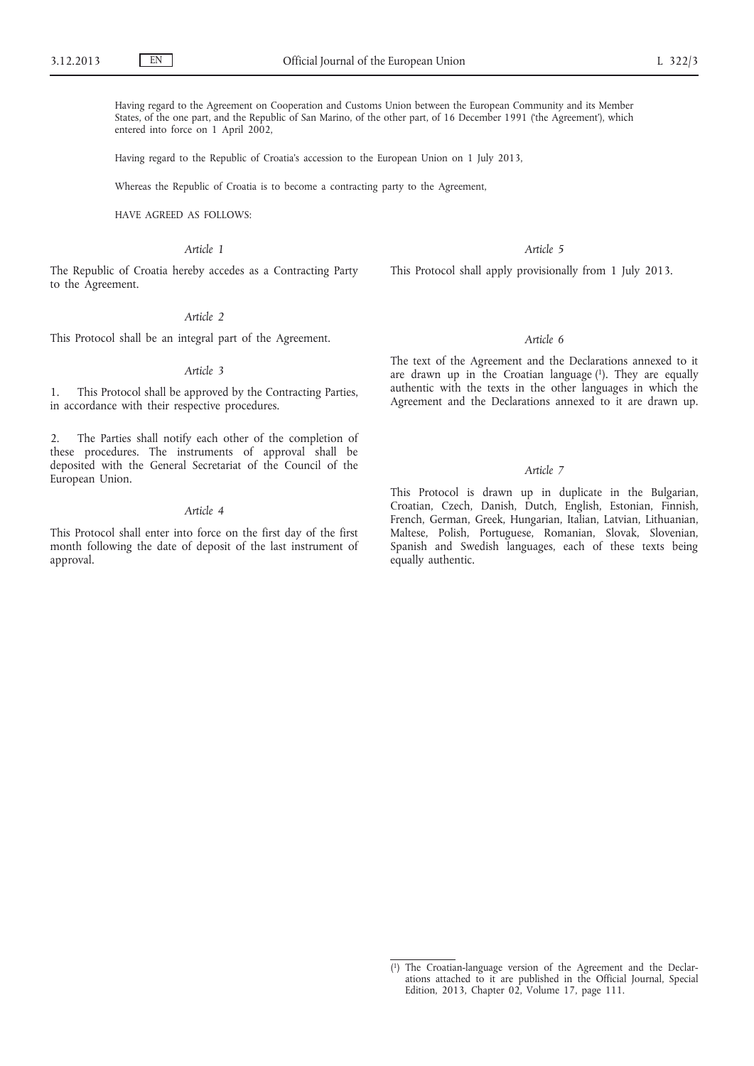Having regard to the Agreement on Cooperation and Customs Union between the European Community and its Member States, of the one part, and the Republic of San Marino, of the other part, of 16 December 1991 ('the Agreement'), which entered into force on 1 April 2002,

Having regard to the Republic of Croatia's accession to the European Union on 1 July 2013,

Whereas the Republic of Croatia is to become a contracting party to the Agreement,

HAVE AGREED AS FOLLOWS:

*Article 1*

The Republic of Croatia hereby accedes as a Contracting Party to the Agreement.

## *Article 2*

This Protocol shall be an integral part of the Agreement.

### *Article 3*

1. This Protocol shall be approved by the Contracting Parties, in accordance with their respective procedures.

2. The Parties shall notify each other of the completion of these procedures. The instruments of approval shall be deposited with the General Secretariat of the Council of the European Union.

#### *Article 4*

This Protocol shall enter into force on the first day of the first month following the date of deposit of the last instrument of approval.

*Article 5*

This Protocol shall apply provisionally from 1 July 2013.

#### *Article 6*

The text of the Agreement and the Declarations annexed to it are drawn up in the Croatian language (1). They are equally authentic with the texts in the other languages in which the Agreement and the Declarations annexed to it are drawn up.

# *Article 7*

This Protocol is drawn up in duplicate in the Bulgarian, Croatian, Czech, Danish, Dutch, English, Estonian, Finnish, French, German, Greek, Hungarian, Italian, Latvian, Lithuanian, Maltese, Polish, Portuguese, Romanian, Slovak, Slovenian, Spanish and Swedish languages, each of these texts being equally authentic.

<sup>(</sup> 1) The Croatian-language version of the Agreement and the Declarations attached to it are published in the Official Journal, Special Edition, 2013, Chapter 02, Volume 17, page 111.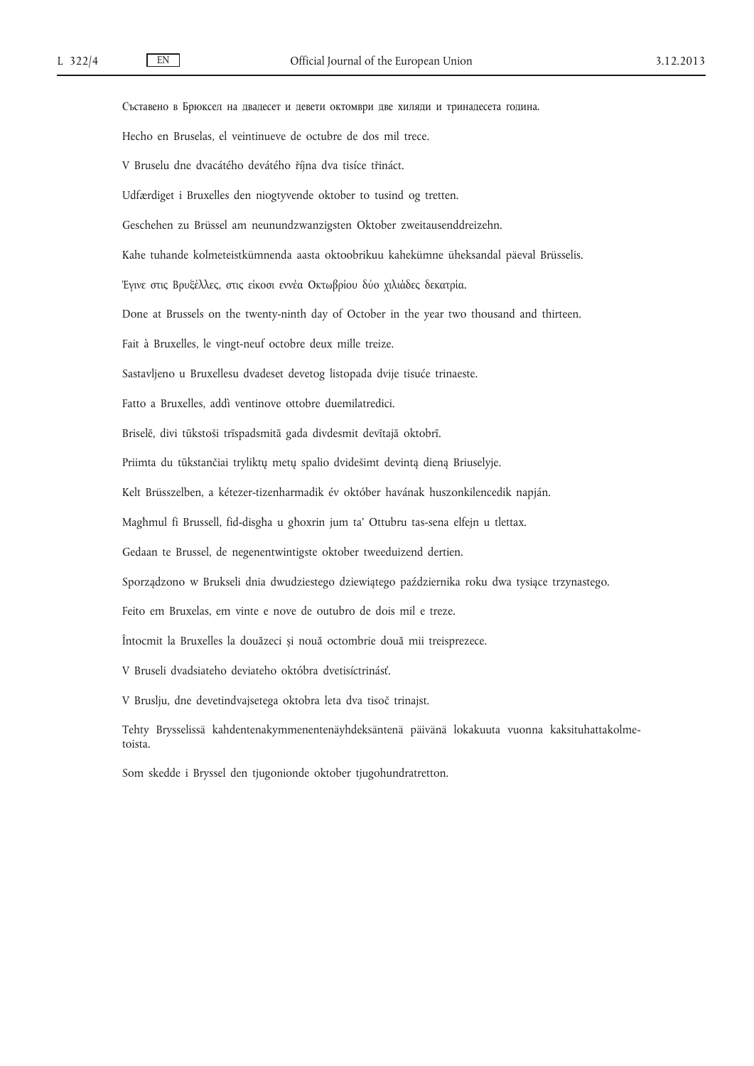Съставено в Брюксел на двадесет и девети октомври две хиляди и тринадесета година. Hecho en Bruselas, el veintinueve de octubre de dos mil trece. V Bruselu dne dvacátého devátého října dva tisíce třináct. Udfærdiget i Bruxelles den niogtyvende oktober to tusind og tretten. Geschehen zu Brüssel am neunundzwanzigsten Oktober zweitausenddreizehn. Kahe tuhande kolmeteistkümnenda aasta oktoobrikuu kahekümne üheksandal päeval Brüsselis. Έγινε στις Βρυξέλλες, στις είκοσι εννέα Οκτωβρίου δύο χιλιάδες δεκατρία. Done at Brussels on the twenty-ninth day of October in the year two thousand and thirteen. Fait à Bruxelles, le vingt-neuf octobre deux mille treize. Sastavljeno u Bruxellesu dvadeset devetog listopada dvije tisuće trinaeste. Fatto a Bruxelles, addì ventinove ottobre duemilatredici. Briselē, divi tūkstoši trīspadsmitā gada divdesmit devītajā oktobrī. Priimta du tūkstančiai tryliktų metų spalio dvidešimt devintą dieną Briuselyje. Kelt Brüsszelben, a kétezer-tizenharmadik év október havának huszonkilencedik napján. Magħmul fi Brussell, fid-disgħa u għoxrin jum ta' Ottubru tas-sena elfejn u tlettax. Gedaan te Brussel, de negenentwintigste oktober tweeduizend dertien. Sporządzono w Brukseli dnia dwudziestego dziewiątego października roku dwa tysiące trzynastego. Feito em Bruxelas, em vinte e nove de outubro de dois mil e treze. Întocmit la Bruxelles la douăzeci și nouă octombrie două mii treisprezece. V Bruseli dvadsiateho deviateho októbra dvetisíctrinásť. V Bruslju, dne devetindvajsetega oktobra leta dva tisoč trinajst. Tehty Brysselissä kahdentenakymmenentenäyhdeksäntenä päivänä lokakuuta vuonna kaksituhattakolmetoista. Som skedde i Bryssel den tjugonionde oktober tjugohundratretton.